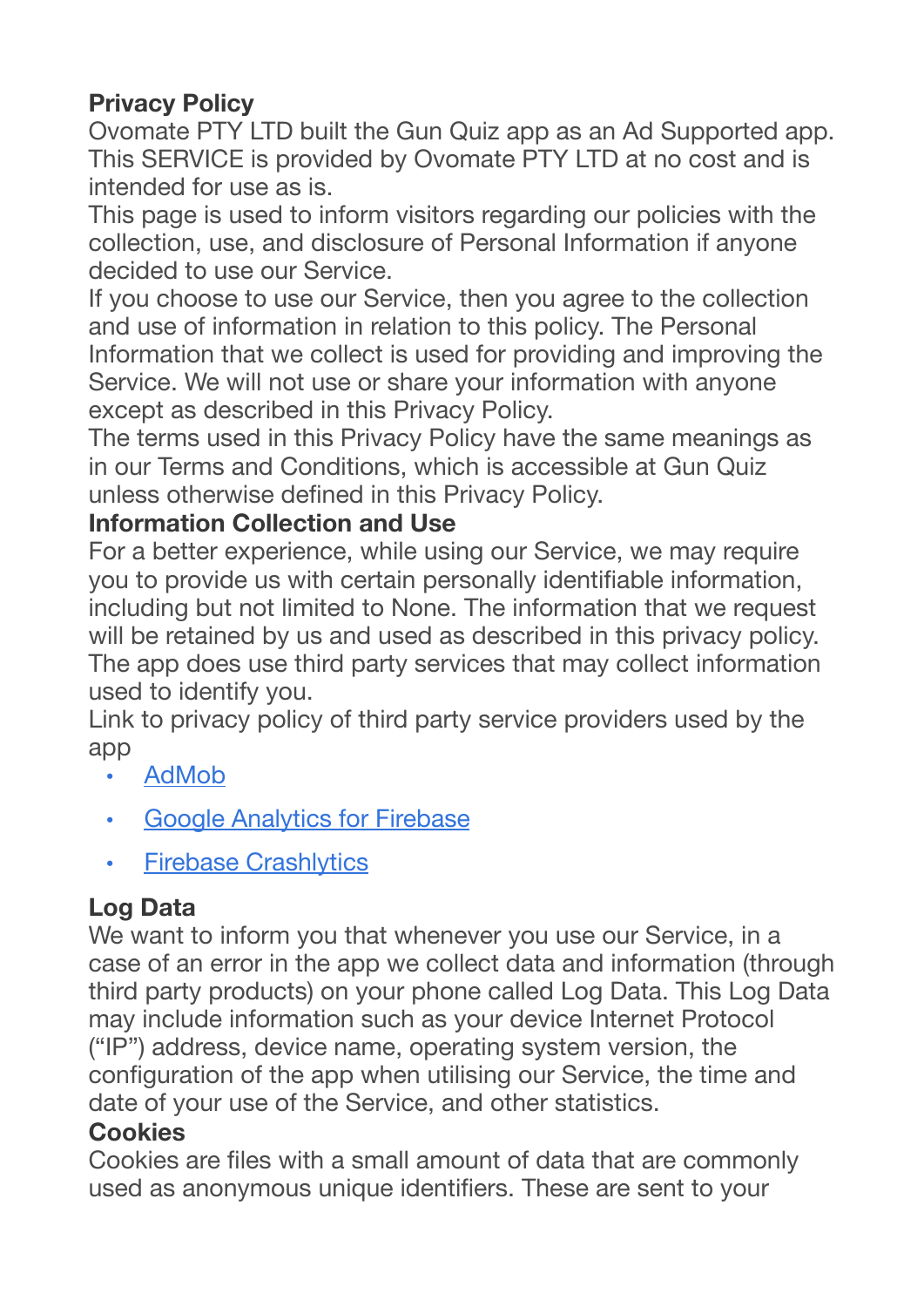# **Privacy Policy**

Ovomate PTY LTD built the Gun Quiz app as an Ad Supported app. This SERVICE is provided by Ovomate PTY LTD at no cost and is intended for use as is.

This page is used to inform visitors regarding our policies with the collection, use, and disclosure of Personal Information if anyone decided to use our Service.

If you choose to use our Service, then you agree to the collection and use of information in relation to this policy. The Personal Information that we collect is used for providing and improving the Service. We will not use or share your information with anyone except as described in this Privacy Policy.

The terms used in this Privacy Policy have the same meanings as in our Terms and Conditions, which is accessible at Gun Quiz unless otherwise defined in this Privacy Policy.

## **Information Collection and Use**

For a better experience, while using our Service, we may require you to provide us with certain personally identifiable information, including but not limited to None. The information that we request will be retained by us and used as described in this privacy policy. The app does use third party services that may collect information used to identify you.

Link to privacy policy of third party service providers used by the app

- [AdMob](https://support.google.com/admob/answer/6128543?hl=en)
- **[Google Analytics for Firebase](https://firebase.google.com/policies/analytics)**
- [Firebase Crashlytics](https://firebase.google.com/support/privacy/)

# **Log Data**

We want to inform you that whenever you use our Service, in a case of an error in the app we collect data and information (through third party products) on your phone called Log Data. This Log Data may include information such as your device Internet Protocol ("IP") address, device name, operating system version, the configuration of the app when utilising our Service, the time and date of your use of the Service, and other statistics.

#### **Cookies**

Cookies are files with a small amount of data that are commonly used as anonymous unique identifiers. These are sent to your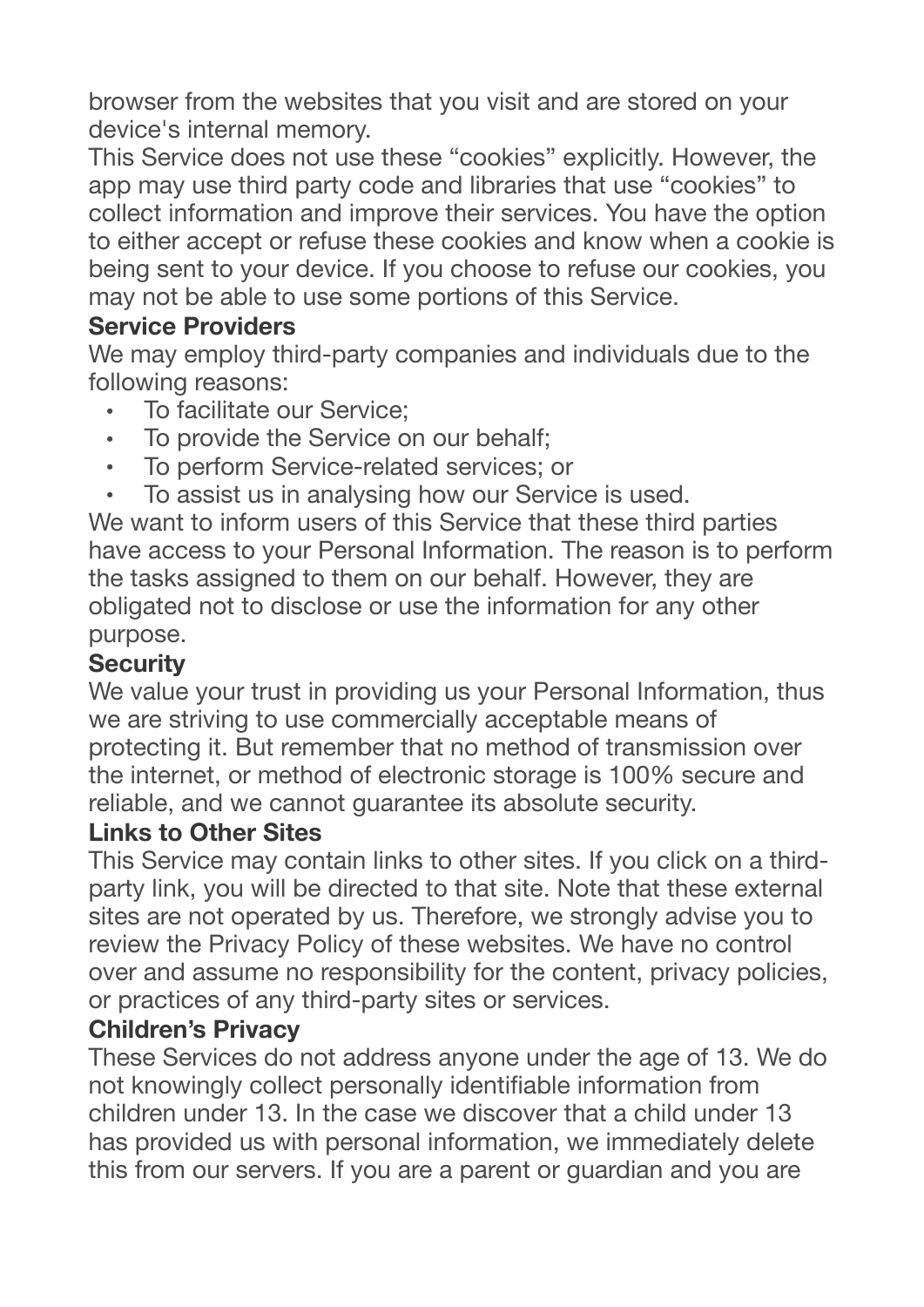browser from the websites that you visit and are stored on your device's internal memory.

This Service does not use these "cookies" explicitly. However, the app may use third party code and libraries that use "cookies" to collect information and improve their services. You have the option to either accept or refuse these cookies and know when a cookie is being sent to your device. If you choose to refuse our cookies, you may not be able to use some portions of this Service.

### **Service Providers**

We may employ third-party companies and individuals due to the following reasons:

- To facilitate our Service;
- To provide the Service on our behalf;
- To perform Service-related services; or
- To assist us in analysing how our Service is used.

We want to inform users of this Service that these third parties have access to your Personal Information. The reason is to perform the tasks assigned to them on our behalf. However, they are obligated not to disclose or use the information for any other purpose.

#### **Security**

We value your trust in providing us your Personal Information, thus we are striving to use commercially acceptable means of protecting it. But remember that no method of transmission over the internet, or method of electronic storage is 100% secure and reliable, and we cannot guarantee its absolute security.

#### **Links to Other Sites**

This Service may contain links to other sites. If you click on a thirdparty link, you will be directed to that site. Note that these external sites are not operated by us. Therefore, we strongly advise you to review the Privacy Policy of these websites. We have no control over and assume no responsibility for the content, privacy policies, or practices of any third-party sites or services.

## **Children's Privacy**

These Services do not address anyone under the age of 13. We do not knowingly collect personally identifiable information from children under 13. In the case we discover that a child under 13 has provided us with personal information, we immediately delete this from our servers. If you are a parent or guardian and you are